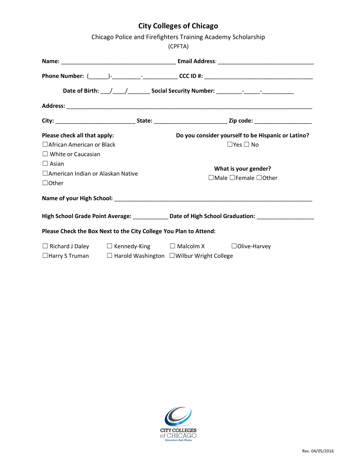# **City Colleges of Chicago**

| Chicago Police and Firefighters Training Academy Scholarship<br>(CPFTA)           |                                                             |                                                                                                     |                                                    |
|-----------------------------------------------------------------------------------|-------------------------------------------------------------|-----------------------------------------------------------------------------------------------------|----------------------------------------------------|
|                                                                                   |                                                             |                                                                                                     |                                                    |
|                                                                                   |                                                             |                                                                                                     |                                                    |
| Date of Birth: \___/ \____/ ________ Social Security Number: \___________________ |                                                             |                                                                                                     |                                                    |
|                                                                                   |                                                             |                                                                                                     |                                                    |
|                                                                                   |                                                             |                                                                                                     |                                                    |
| Please check all that apply:                                                      |                                                             |                                                                                                     | Do you consider yourself to be Hispanic or Latino? |
| □ African American or Black                                                       |                                                             | $\Box$ Yes $\Box$ No                                                                                |                                                    |
| $\Box$ White or Caucasian                                                         |                                                             |                                                                                                     |                                                    |
| $\Box$ Asian                                                                      |                                                             |                                                                                                     |                                                    |
| □ American Indian or Alaskan Native                                               |                                                             | What is your gender?<br>$\Box$ Male $\Box$ Female $\Box$ Other                                      |                                                    |
| $\Box$ Other                                                                      |                                                             |                                                                                                     |                                                    |
|                                                                                   |                                                             |                                                                                                     |                                                    |
|                                                                                   |                                                             | High School Grade Point Average: _____________ Date of High School Graduation: ____________________ |                                                    |
| Please Check the Box Next to the City College You Plan to Attend:                 |                                                             |                                                                                                     |                                                    |
|                                                                                   | $\Box$ Richard J Daley $\Box$ Kennedy-King $\Box$ Malcolm X |                                                                                                     | $\Box$ Olive-Harvey                                |
| $\Box$ Harry S Truman                                                             |                                                             | $\Box$ Harold Washington $\Box$ Wilbur Wright College                                               |                                                    |

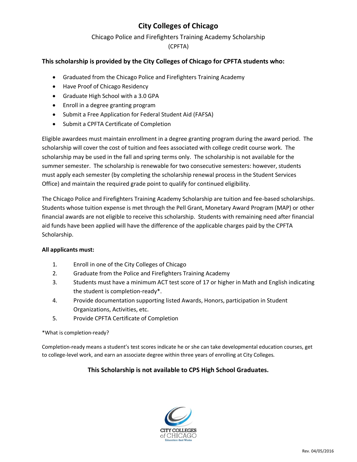## **City Colleges of Chicago**

## Chicago Police and Firefighters Training Academy Scholarship

(CPFTA)

## **This scholarship is provided by the City Colleges of Chicago for CPFTA students who:**

- Graduated from the Chicago Police and Firefighters Training Academy
- Have Proof of Chicago Residency
- Graduate High School with a 3.0 GPA
- Enroll in a degree granting program
- Submit a Free Application for Federal Student Aid (FAFSA)
- Submit a CPFTA Certificate of Completion

Eligible awardees must maintain enrollment in a degree granting program during the award period. The scholarship will cover the cost of tuition and fees associated with college credit course work. The scholarship may be used in the fall and spring terms only. The scholarship is not available for the summer semester. The scholarship is renewable for two consecutive semesters: however, students must apply each semester (by completing the scholarship renewal process in the Student Services Office) and maintain the required grade point to qualify for continued eligibility.

The Chicago Police and Firefighters Training Academy Scholarship are tuition and fee-based scholarships. Students whose tuition expense is met through the Pell Grant, Monetary Award Program (MAP) or other financial awards are not eligible to receive this scholarship. Students with remaining need after financial aid funds have been applied will have the difference of the applicable charges paid by the CPFTA Scholarship.

### **All applicants must:**

- 1. Enroll in one of the City Colleges of Chicago
- 2. Graduate from the Police and Firefighters Training Academy
- 3. Students must have a minimum ACT test score of 17 or higher in Math and English indicating the student is completion-ready\*.
- 4. Provide documentation supporting listed Awards, Honors, participation in Student Organizations, Activities, etc.
- 5. Provide CPFTA Certificate of Completion

### \*What is completion-ready?

Completion-ready means a student's test scores indicate he or she can take developmental education courses, get to college-level work, and earn an associate degree within three years of enrolling at City Colleges.

### **This Scholarship is not available to CPS High School Graduates.**